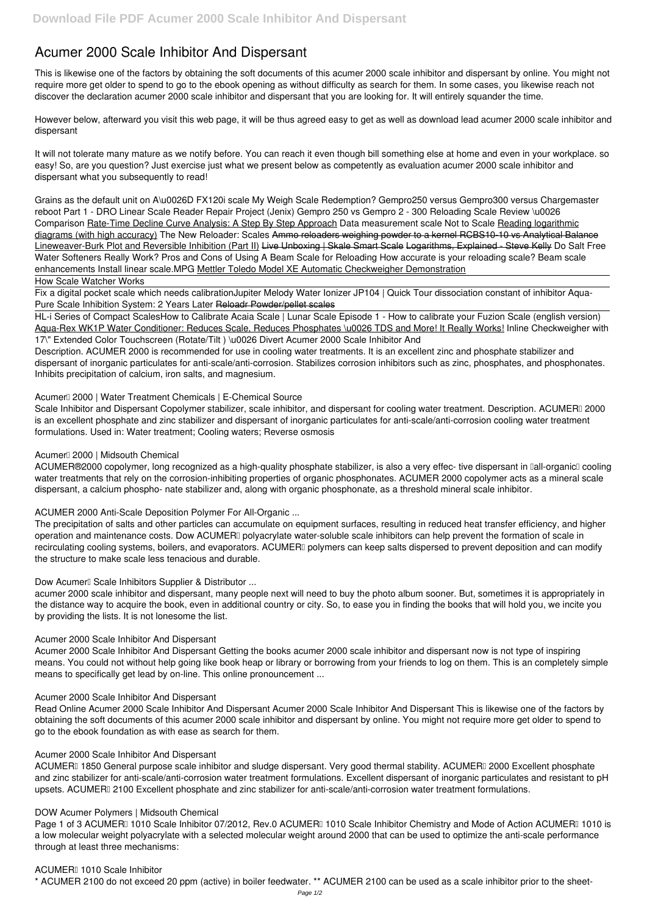# **Acumer 2000 Scale Inhibitor And Dispersant**

This is likewise one of the factors by obtaining the soft documents of this **acumer 2000 scale inhibitor and dispersant** by online. You might not require more get older to spend to go to the ebook opening as without difficulty as search for them. In some cases, you likewise reach not discover the declaration acumer 2000 scale inhibitor and dispersant that you are looking for. It will entirely squander the time.

However below, afterward you visit this web page, it will be thus agreed easy to get as well as download lead acumer 2000 scale inhibitor and dispersant

It will not tolerate many mature as we notify before. You can reach it even though bill something else at home and even in your workplace. so easy! So, are you question? Just exercise just what we present below as competently as evaluation **acumer 2000 scale inhibitor and dispersant** what you subsequently to read!

Fix a digital pocket scale which needs calibration*Jupiter Melody Water Ionizer JP104 | Quick Tour* **dissociation constant of inhibitor** Aqua-Pure Scale Inhibition System: 2 Years Later Reloadr Powder/pellet scales

**Grains as the default unit on A\u0026D FX120i scale** *My Weigh Scale Redemption? Gempro250 versus Gempro300 versus Chargemaster reboot Part 1 - DRO Linear Scale Reader Repair Project (Jenix)* **Gempro 250 vs Gempro 2 - 300 Reloading Scale Review \u0026 Comparison** Rate-Time Decline Curve Analysis: A Step By Step Approach *Data measurement scale Not to Scale* Reading logarithmic diagrams (with high accuracy) *The New Reloader: Scales* Ammo reloaders weighing powder to a kernel RCBS10-10 vs Analytical Balance Lineweaver-Burk Plot and Reversible Inhibition (Part II) Live Unboxing | Skale Smart Scale Logarithms, Explained - Steve Kelly *Do Salt Free Water Softeners Really Work?* Pros and Cons of Using A Beam Scale for Reloading How accurate is your reloading scale? **Beam scale enhancements** Install linear scale.MPG Mettler Toledo Model XE Automatic Checkweigher Demonstration

Scale Inhibitor and Dispersant Copolymer stabilizer, scale inhibitor, and dispersant for cooling water treatment. Description. ACUMERI 2000 is an excellent phosphate and zinc stabilizer and dispersant of inorganic particulates for anti-scale/anti-corrosion cooling water treatment formulations. Used in: Water treatment; Cooling waters; Reverse osmosis

ACUMER®2000 copolymer, long recognized as a high-quality phosphate stabilizer, is also a very effec- tive dispersant in Ilall-organicII cooling water treatments that rely on the corrosion-inhibiting properties of organic phosphonates. ACUMER 2000 copolymer acts as a mineral scale dispersant, a calcium phospho- nate stabilizer and, along with organic phosphonate, as a threshold mineral scale inhibitor.

### How Scale Watcher Works

HL-i Series of Compact Scales**How to Calibrate Acaia Scale | Lunar Scale Episode 1 - How to calibrate your Fuzion Scale (english version)** Aqua-Rex WK1P Water Conditioner: Reduces Scale, Reduces Phosphates \u0026 TDS and More! It Really Works! **Inline Checkweigher with 17\" Extended Color Touchscreen (Rotate/Tilt ) \u0026 Divert Acumer 2000 Scale Inhibitor And**

Description. ACUMER 2000 is recommended for use in cooling water treatments. It is an excellent zinc and phosphate stabilizer and dispersant of inorganic particulates for anti-scale/anti-corrosion. Stabilizes corrosion inhibitors such as zinc, phosphates, and phosphonates. Inhibits precipitation of calcium, iron salts, and magnesium.

# **Acumer™ 2000 | Water Treatment Chemicals | E-Chemical Source**

Page 1 of 3 ACUMER™ 1010 Scale Inhibitor 07/2012, Rev.0 ACUMER™ 1010 Scale Inhibitor Chemistry and Mode of Action ACUMER™ 1010 is a low molecular weight polyacrylate with a selected molecular weight around 2000 that can be used to optimize the anti-scale performance through at least three mechanisms:

# **Acumer™ 2000 | Midsouth Chemical**

# **ACUMER 2000 Anti-Scale Deposition Polymer For All-Organic ...**

The precipitation of salts and other particles can accumulate on equipment surfaces, resulting in reduced heat transfer efficiency, and higher operation and maintenance costs. Dow ACUMERI polyacrylate water-soluble scale inhibitors can help prevent the formation of scale in recirculating cooling systems, boilers, and evaporators. ACUMERI polymers can keep salts dispersed to prevent deposition and can modify the structure to make scale less tenacious and durable.

# Dow Acumer<sup>I</sup> Scale Inhibitors Supplier & Distributor ...

acumer 2000 scale inhibitor and dispersant, many people next will need to buy the photo album sooner. But, sometimes it is appropriately in the distance way to acquire the book, even in additional country or city. So, to ease you in finding the books that will hold you, we incite you by providing the lists. It is not lonesome the list.

# **Acumer 2000 Scale Inhibitor And Dispersant**

Acumer 2000 Scale Inhibitor And Dispersant Getting the books acumer 2000 scale inhibitor and dispersant now is not type of inspiring means. You could not without help going like book heap or library or borrowing from your friends to log on them. This is an completely simple means to specifically get lead by on-line. This online pronouncement ...

**Acumer 2000 Scale Inhibitor And Dispersant**

Read Online Acumer 2000 Scale Inhibitor And Dispersant Acumer 2000 Scale Inhibitor And Dispersant This is likewise one of the factors by obtaining the soft documents of this acumer 2000 scale inhibitor and dispersant by online. You might not require more get older to spend to go to the ebook foundation as with ease as search for them.

#### **Acumer 2000 Scale Inhibitor And Dispersant**

ACUMERI 1850 General purpose scale inhibitor and sludge dispersant. Very good thermal stability. ACUMERI 2000 Excellent phosphate and zinc stabilizer for anti-scale/anti-corrosion water treatment formulations. Excellent dispersant of inorganic particulates and resistant to pH upsets. ACUMERI 2100 Excellent phosphate and zinc stabilizer for anti-scale/anti-corrosion water treatment formulations.

#### **DOW Acumer Polymers | Midsouth Chemical**

#### **ACUMER™ 1010 Scale Inhibitor**

\* ACUMER 2100 do not exceed 20 ppm (active) in boiler feedwater. \*\* ACUMER 2100 can be used as a scale inhibitor prior to the sheet-